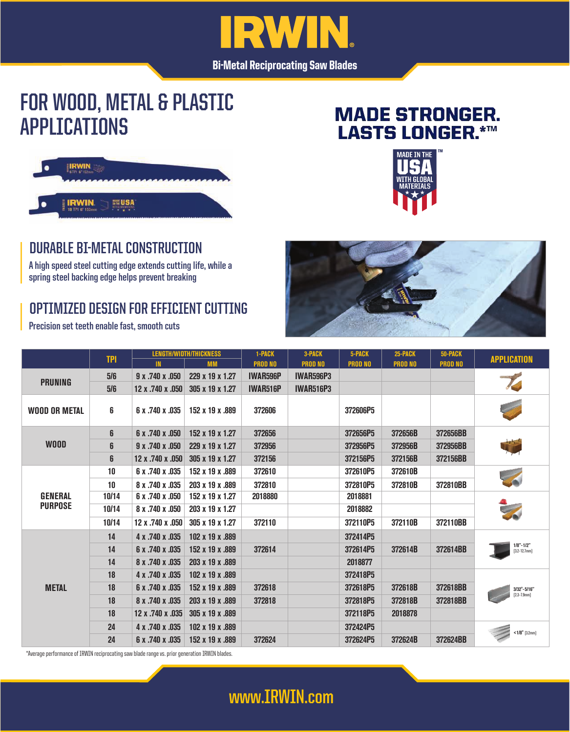

# **FOR WOOD, METAL & PLASTIC APPLICATIONS**



### **DURABLE BI-METAL CONSTRUCTION**

**A high speed steel cutting edge extends cutting life, while a spring steel backing edge helps prevent breaking**

## **OPTIMIZED DESIGN FOR EFFICIENT CUTTING**

**Precision set teeth enable fast, smooth cuts**

## **MADE STRONGER. LASTS LONGER.\*™**





**Thickness Icon Height Icon**

|                                  | <b>TPI</b>       |                  | <b>LENGTH/WIDTH/THICKNESS</b> | 1-PACK          | 3-PACK           | 5-PACK         | 25-PACK        | 50-PACK        | <b>APPLICATION</b>                  |  |
|----------------------------------|------------------|------------------|-------------------------------|-----------------|------------------|----------------|----------------|----------------|-------------------------------------|--|
|                                  |                  | <b>IN</b>        | MМ                            | <b>PROD NO</b>  | <b>PROD NO</b>   | <b>PROD NO</b> | <b>PROD NO</b> | <b>PROD NO</b> |                                     |  |
| <b>PRUNING</b>                   | 5/6              | 9 x .740 x .050  | 229 x 19 x 1.27               | IWAR596P        | <b>IWAR596P3</b> |                |                |                |                                     |  |
|                                  | 5/6              | 12 x .740 x .050 | 305 x 19 x 1.27               | <b>IWAR516P</b> | <b>IWAR516P3</b> |                |                |                |                                     |  |
| <b>WOOD OR METAL</b>             | 6                | 6 x .740 x .035  | 152 x 19 x .889               | 372606          |                  | 372606P5       |                |                |                                     |  |
| <b>WOOD</b>                      | $\boldsymbol{6}$ | 6 x .740 x .050  | 152 x 19 x 1.27               | 372656          |                  | 372656P5       | 372656B        | 372656BB       |                                     |  |
|                                  | $6\phantom{a}$   | 9 x .740 x .050  | 229 x 19 x 1.27               | 372956          |                  | 372956P5       | 372956B        | 372956BB       |                                     |  |
|                                  | 6                | 12 x .740 x .050 | 305 x 19 x 1.27               | 372156          |                  | 372156P5       | 372156B        | 372156BB       |                                     |  |
| <b>GENERAL</b><br><b>PURPOSE</b> | 10               | 6 x .740 x .035  | 152 x 19 x .889               | 372610          |                  | 372610P5       | 372610B        |                |                                     |  |
|                                  | 10               | 8 x .740 x .035  | 203 x 19 x .889               | 372810          |                  | 372810P5       | 372810B        | 372810BB       |                                     |  |
|                                  | 10/14            | 6 x .740 x .050  | 152 x 19 x 1.27               | 2018880         |                  | 2018881        |                |                |                                     |  |
|                                  | 10/14            | 8 x .740 x .050  | 203 x 19 x 1.27               |                 |                  | 2018882        |                |                |                                     |  |
|                                  | 10/14            | 12 x .740 x .050 | 305 x 19 x 1.27               | 372110          |                  | 372110P5       | 372110B        | 372110BB       |                                     |  |
| <b>METAL</b>                     | 14               | 4 x .740 x .035  | 102 x 19 x .889               |                 |                  | 372414P5       |                |                |                                     |  |
|                                  | 14               | 6 x .740 x .035  | 152 x 19 x .889               | 372614          |                  | 372614P5       | 372614B        | 372614BB       | $1/8" - 1/2"$<br>$[3.2 - 12.7$ mm]  |  |
|                                  | 14               | 8 x .740 x .035  | 203 x 19 x .889               |                 |                  | 2018877        |                |                |                                     |  |
|                                  | 18               | 4 x .740 x .035  | 102 x 19 x .889               |                 |                  | 372418P5       |                |                | $3/32" - 5/16"$<br>$[2.3 - 7.9$ mm] |  |
|                                  | 18               | 6 x .740 x .035  | 152 x 19 x .889               | 372618          |                  | 372618P5       | 372618B        | 372618BB       |                                     |  |
|                                  | 18               | 8 x .740 x .035  | 203 x 19 x .889               | 372818          |                  | 372818P5       | 372818B        | 372818BB       |                                     |  |
|                                  | 18               | 12 x .740 x .035 | 305 x 19 x .889               |                 |                  | 372118P5       | 2018878        |                |                                     |  |
|                                  | 24               | 4 x .740 x .035  | 102 x 19 x .889               |                 |                  | 372424P5       |                |                | $1/8$ " [3.2mm]                     |  |
|                                  | 24               | 6 x .740 x .035  | 152 x 19 x .889               | 372624          |                  | 372624P5       | 372624B        | 372624BB       |                                     |  |

\*Average performance of IRWIN reciprocating saw blade range vs. prior generation IRWIN blades.

## **www.IRWIN.com**